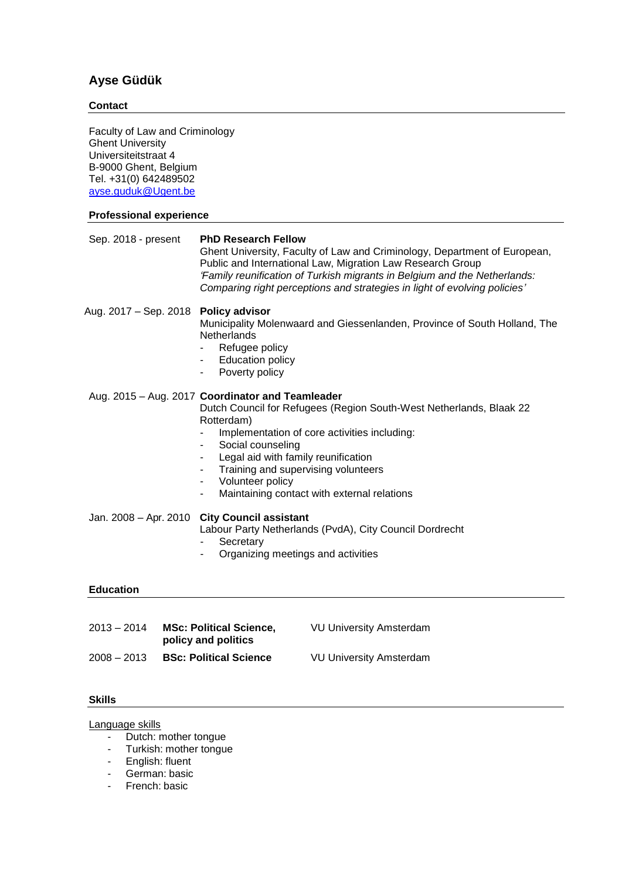# **Ayse Güdük**

## **Contact**

Faculty of Law and Criminology Ghent University Universiteitstraat 4 B-9000 Ghent, Belgium Tel. +31(0) 642489502 ayse.guduk@Ugent.be **Professional experience** Sep. 2018 - present **PhD Research Fellow** Ghent University, Faculty of Law and Criminology, Department of European, Public and International Law, Migration Law Research Group *'Family reunification of Turkish migrants in Belgium and the Netherlands: Comparing right perceptions and strategies in light of evolving policies'* Aug. 2017 – Sep. 2018 **Policy advisor**  Municipality Molenwaard and Giessenlanden, Province of South Holland, The **Netherlands** - Refugee policy Education policy - Poverty policy Aug. 2015 – Aug. 2017 **Coordinator and Teamleader** Dutch Council for Refugees (Region South-West Netherlands, Blaak 22 Rotterdam) Implementation of core activities including: - Social counseling Legal aid with family reunification Training and supervising volunteers Volunteer policy Maintaining contact with external relations Jan. 2008 – Apr. 2010 **City Council assistant** Labour Party Netherlands (PvdA), City Council Dordrecht **Secretary** - Organizing meetings and activities **Education** 2013 – 2014 **MSc: Political Science, policy and politics** VU University Amsterdam 2008 – 2013 **BSc: Political Science** VU University Amsterdam

#### **Skills**

### Language skills

- Dutch: mother tongue
- Turkish: mother tongue
- English: fluent
- German: basic
- French: basic